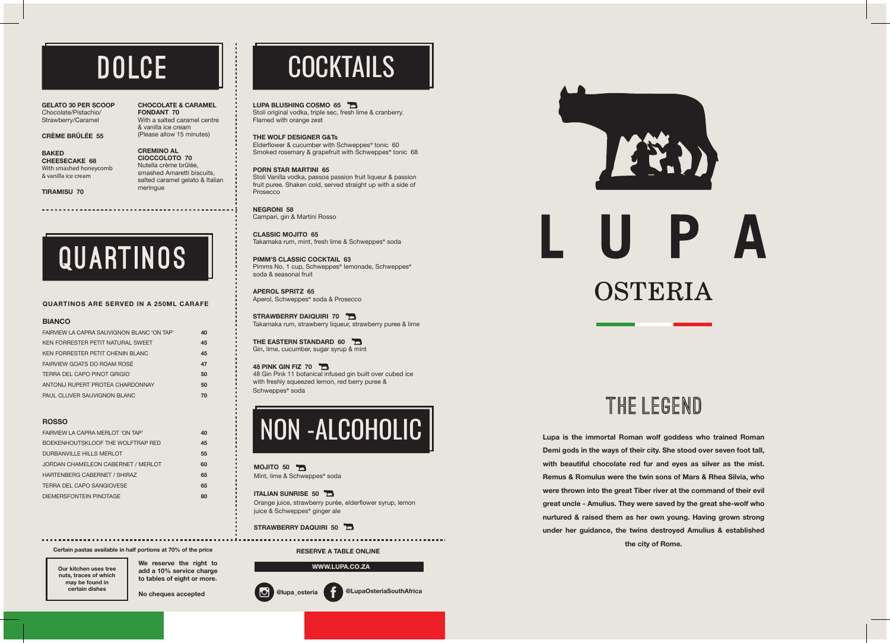**We reserve the right to add a 10% service charge to tables of eight or more.**

**No cheques accepted**



THE LEGEND

**Certain pastas available in half portions at 70% of the price**

**@lupa\_osteria @LupaOsteriaSouthAfrica**

#### **WWW.LUPA.CO.ZA**

**Lupa is the immortal Roman wolf goddess who trained Roman Demi gods in the ways of their city. She stood over seven foot tall, with beautiful chocolate red fur and eyes as silver as the mist. Remus & Romulus were the twin sons of Mars & Rhea Silvia, who were thrown into the great Tiber river at the command of their evil great uncle - Amulius. They were saved by the great she-wolf who nurtured & raised them as her own young. Having grown strong under her guidance, the twins destroyed Amulius & established the city of Rome.**

FAIRVIEW LA CAPRA SAUVIGNON BLANC 'ON TAP' **40** KEN FORRESTER PETIT NATURAL SWEET **45** KEN FORRESTER PETIT CHENIN BLANC **45** FAIRVIEW GOATS DO ROAM ROSÉ **47**  TERRA DEL CAPO PINOT GRIGIO **50** ANTONIJ RUPERT PROTEA CHARDONNAY **50** PAUL CLUVER SAUVIGNON BLANC

**GELATO 30 PER SCOOP** Chocolate/Pistachio/ Strawberry/Caramel

#### **CRÈME BRÛLÉE 55**

**BAKED CHEESECAKE 68** With smashed honeycomb & vanilla ice cream

**TIRAMISU 70**

#### **CHOCOLATE & CARAMEL FONDANT 70** With a salted caramel centre & vanilla ice cream (Please allow 15 minutes)

Elderflower & cucumber with Schweppes® tonic 60 Smoked rosemary & grapefruit with Schweppes<sup>®</sup> tonic 68

**CREMINO AL CIOCCOLOTO 70** Nutella crème brûlée, smashed Amaretti biscuits, salted caramel gelato & Italian meringue

## **COCKTAILS**

#### LUPA BLUSHING COSMO 65

**CLASSIC MOJITO 65** Takamaka rum, mint, fresh lime & Schweppes® soda

#### **RESERVE A TABLE ONLINE**

**Our kitchen uses tree nuts, traces of which may be found in certain dishes**

## **DOLCE**

**QUARTINOS ARE SERVED IN A 250ML CARAFE**

QUARTINOS

**STRAWBERRY DAIQUIRI 70** Takamaka rum, strawberry liqueur, strawberry puree & lime

## NON -ALCOHOLIC

**THE EASTERN STANDARD 60** Gin, lime, cucumber, sugar syrup & mint

**MOJITO 50** Mint, lime & Schweppes® soda

**ITALIAN SUNRISE 50** Orange juice, strawberry purée, elderflower syrup, lemon juice & Schweppes<sup>®</sup> ginger ale

**48 PINK GIN FIZ 70**  48 Gin Pink 11 botanical infused gin built over cubed ice with freshly squeezed lemon, red berry puree & Schweppes<sup>®</sup> soda

**STRAWBERRY DAQUIRI 50** 

**BIANCO**

**ROSSO**

FAIRVIEW LA CAPRA MERLOT 'ON TAP' **40** BOEKENHOUTSKLOOF THE WOLFTRAP RED **45** DURBANVILLE HILLS MERLOT **55** JORDAN CHAMELEON CABERNET / MERLOT **60** HARTENBERG CABERNET / SHIRAZ **65**  TERRA DEL CAPO SANGIOVESE **65** DIEMERSFONTEIN PINOTAGE **80** Stoli original vodka, triple sec, fresh lime & cranberry. Flamed with orange zest

#### **THE WOLF DESIGNER G&Ts**

#### **PORN STAR MARTINI 65** Stoli Vanilla vodka, passoa passion fruit liqueur & passion fruit puree. Shaken cold, served straight up with a side of Prosecco

**NEGRONI 58** Campari, gin & Martini Rosso

**PIMM'S CLASSIC COCKTAIL 63** Pimms No. 1 cup, Schweppes® lemonade, Schweppes® soda & seasonal fruit

**APEROL SPRITZ 65** Aperol, Schweppes® soda & Prosecco